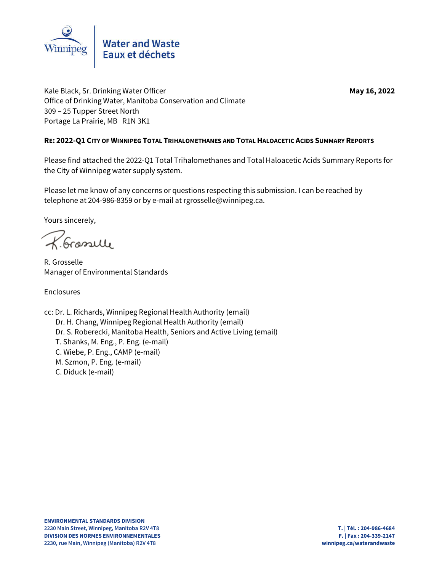

Kale Black, Sr. Drinking Water Officer **May 16, 2022** May 16, 2022 Office of Drinking Water, Manitoba Conservation and Climate 309 – 25 Tupper Street North Portage La Prairie, MB R1N 3K1

### **RE: 2022-Q1 CITY OF WINNIPEG TOTAL TRIHALOMETHANES AND TOTAL HALOACETIC ACIDS SUMMARY REPORTS**

Please find attached the 2022-Q1 Total Trihalomethanes and Total Haloacetic Acids Summary Reports for the City of Winnipeg water supply system.

Please let me know of any concerns or questions respecting this submission. I can be reached by telephone at 204-986-8359 or by e-mail at rgrosselle@winnipeg.ca.

Yours sincerely,

R. Grasselle

R. Grosselle Manager of Environmental Standards

Enclosures

cc: Dr. L. Richards, Winnipeg Regional Health Authority (email) Dr. H. Chang, Winnipeg Regional Health Authority (email) Dr. S. Roberecki, Manitoba Health, Seniors and Active Living (email) T. Shanks, M. Eng., P. Eng. (e-mail) C. Wiebe, P. Eng., CAMP (e-mail) M. Szmon, P. Eng. (e-mail) C. Diduck (e-mail)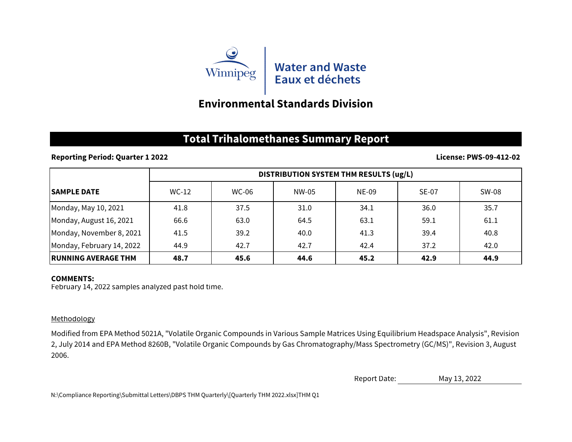

# **Environmental Standards Division**

## **Total Trihalomethanes Summary Report**

**Reporting Period: Quarter 1 2022**

### **License: PWS-09-412-02**

|                            | DISTRIBUTION SYSTEM THM RESULTS (ug/L) |              |       |              |              |              |  |  |
|----------------------------|----------------------------------------|--------------|-------|--------------|--------------|--------------|--|--|
| <b>SAMPLE DATE</b>         | $WC-12$                                | <b>WC-06</b> | NW-05 | <b>NE-09</b> | <b>SE-07</b> | <b>SW-08</b> |  |  |
| Monday, May 10, 2021       | 41.8                                   | 37.5         | 31.0  | 34.1         | 36.0         | 35.7         |  |  |
| Monday, August 16, 2021    | 66.6                                   | 63.0         | 64.5  | 63.1         | 59.1         | 61.1         |  |  |
| Monday, November 8, 2021   | 41.5                                   | 39.2         | 40.0  | 41.3         | 39.4         | 40.8         |  |  |
| Monday, February 14, 2022  | 44.9                                   | 42.7         | 42.7  | 42.4         | 37.2         | 42.0         |  |  |
| <b>RUNNING AVERAGE THM</b> | 48.7                                   | 45.6         | 44.6  | 45.2         | 42.9         | 44.9         |  |  |

### **COMMENTS:**

February 14, 2022 samples analyzed past hold time.

## Methodology

Modified from EPA Method 5021A, "Volatile Organic Compounds in Various Sample Matrices Using Equilibrium Headspace Analysis", Revision 2, July 2014 and EPA Method 8260B, "Volatile Organic Compounds by Gas Chromatography/Mass Spectrometry (GC/MS)", Revision 3, August 2006.

> Report Date: May 13, 2022

N:\Compliance Reporting\Submittal Letters\DBPS THM Quarterly\[Quarterly THM 2022.xlsx]THM Q1